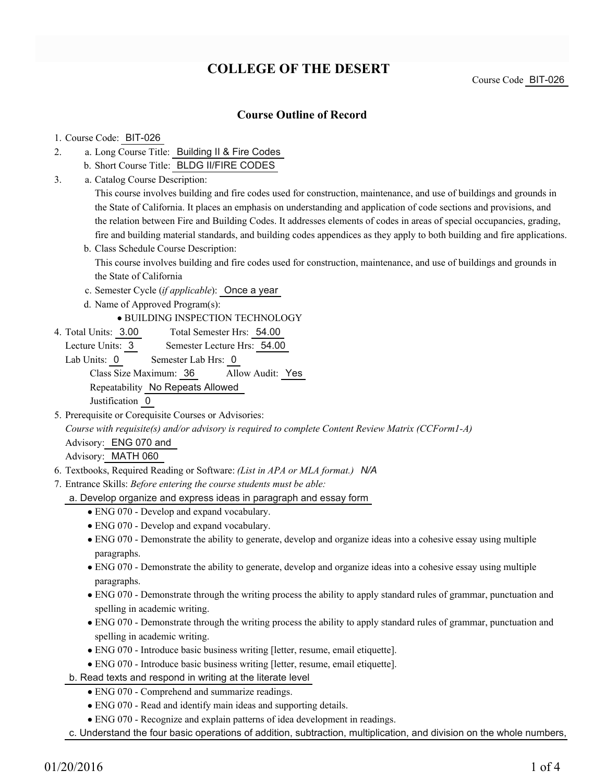# **COLLEGE OF THE DESERT**

Course Code BIT-026

### **Course Outline of Record**

#### 1. Course Code: BIT-026

- a. Long Course Title: Building II & Fire Codes 2.
	- b. Short Course Title: BLDG II/FIRE CODES
- Catalog Course Description: a. 3.

This course involves building and fire codes used for construction, maintenance, and use of buildings and grounds in the State of California. It places an emphasis on understanding and application of code sections and provisions, and the relation between Fire and Building Codes. It addresses elements of codes in areas of special occupancies, grading, fire and building material standards, and building codes appendices as they apply to both building and fire applications.

- b. Class Schedule Course Description: This course involves building and fire codes used for construction, maintenance, and use of buildings and grounds in the State of California
- c. Semester Cycle (*if applicable*): Once a year
- d. Name of Approved Program(s):

### BUILDING INSPECTION TECHNOLOGY

- Total Semester Hrs: 54.00 4. Total Units: 3.00
	- Lecture Units: 3 Semester Lecture Hrs: 54.00

Lab Units: 0 Semester Lab Hrs: 0 Class Size Maximum: 36 Allow Audit: Yes Repeatability No Repeats Allowed Justification 0

5. Prerequisite or Corequisite Courses or Advisories:

*Course with requisite(s) and/or advisory is required to complete Content Review Matrix (CCForm1-A)*

Advisory: ENG 070 and

Advisory: MATH 060

- 6. Textbooks, Required Reading or Software: *(List in APA or MLA format.) N/A*
- Entrance Skills: *Before entering the course students must be able:* 7.
	- a. Develop organize and express ideas in paragraph and essay form
		- ENG 070 Develop and expand vocabulary.
		- ENG 070 Develop and expand vocabulary.
		- ENG 070 Demonstrate the ability to generate, develop and organize ideas into a cohesive essay using multiple paragraphs.
		- ENG 070 Demonstrate the ability to generate, develop and organize ideas into a cohesive essay using multiple paragraphs.
		- ENG 070 Demonstrate through the writing process the ability to apply standard rules of grammar, punctuation and spelling in academic writing.
		- ENG 070 Demonstrate through the writing process the ability to apply standard rules of grammar, punctuation and spelling in academic writing.
		- ENG 070 Introduce basic business writing [letter, resume, email etiquette].
		- ENG 070 Introduce basic business writing [letter, resume, email etiquette].
	- b. Read texts and respond in writing at the literate level
		- ENG 070 Comprehend and summarize readings.
		- ENG 070 Read and identify main ideas and supporting details.
		- ENG 070 Recognize and explain patterns of idea development in readings.
	- c. Understand the four basic operations of addition, subtraction, multiplication, and division on the whole numbers,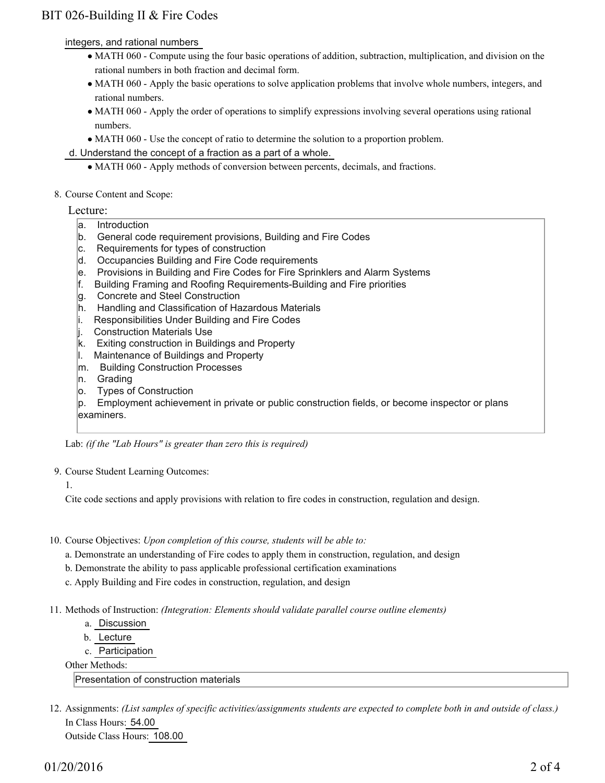## BIT 026-Building II & Fire Codes

integers, and rational numbers

- MATH 060 Compute using the four basic operations of addition, subtraction, multiplication, and division on the rational numbers in both fraction and decimal form.
- MATH 060 Apply the basic operations to solve application problems that involve whole numbers, integers, and rational numbers.
- MATH 060 Apply the order of operations to simplify expressions involving several operations using rational numbers.
- MATH 060 Use the concept of ratio to determine the solution to a proportion problem.

d. Understand the concept of a fraction as a part of a whole.

- MATH 060 Apply methods of conversion between percents, decimals, and fractions.
- 8. Course Content and Scope:

### Lecture:

- a. Introduction
- b. General code requirement provisions, Building and Fire Codes
- c. Requirements for types of construction
- d. Occupancies Building and Fire Code requirements
- e. Provisions in Building and Fire Codes for Fire Sprinklers and Alarm Systems
- f. Building Framing and Roofing Requirements-Building and Fire priorities
- g. Concrete and Steel Construction
- h. Handling and Classification of Hazardous Materials
- i. Responsibilities Under Building and Fire Codes
- j. Construction Materials Use
- k. Exiting construction in Buildings and Property
- l. Maintenance of Buildings and Property
- m. Building Construction Processes
- n. Grading
- o. Types of Construction

p. Employment achievement in private or public construction fields, or become inspector or plans examiners.

Lab: *(if the "Lab Hours" is greater than zero this is required)*

- 9. Course Student Learning Outcomes:
	- 1.

Cite code sections and apply provisions with relation to fire codes in construction, regulation and design.

- 10. Course Objectives: Upon completion of this course, students will be able to:
	- a. Demonstrate an understanding of Fire codes to apply them in construction, regulation, and design
	- b. Demonstrate the ability to pass applicable professional certification examinations
	- c. Apply Building and Fire codes in construction, regulation, and design
- Methods of Instruction: *(Integration: Elements should validate parallel course outline elements)* 11.
	- a. Discussion
	- b. Lecture
	- c. Participation

Other Methods:

Presentation of construction materials

12. Assignments: (List samples of specific activities/assignments students are expected to complete both in and outside of class.) In Class Hours: 54.00 Outside Class Hours: 108.00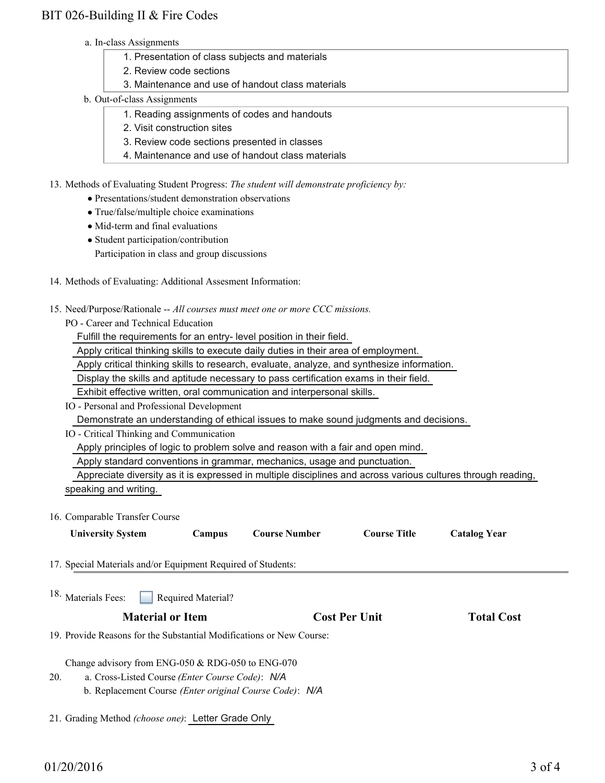### BIT 026-Building II & Fire Codes

- a. In-class Assignments
	- 1. Presentation of class subjects and materials
	- 2. Review code sections
	- 3. Maintenance and use of handout class materials
- b. Out-of-class Assignments
	- 1. Reading assignments of codes and handouts
	- 2. Visit construction sites
	- 3. Review code sections presented in classes
	- 4. Maintenance and use of handout class materials

13. Methods of Evaluating Student Progress: The student will demonstrate proficiency by:

- Presentations/student demonstration observations
- True/false/multiple choice examinations
- Mid-term and final evaluations
- Student participation/contribution
	- Participation in class and group discussions
- 14. Methods of Evaluating: Additional Assesment Information:
- 15. Need/Purpose/Rationale -- All courses must meet one or more CCC missions.
	- PO Career and Technical Education

Fulfill the requirements for an entry- level position in their field.

Apply critical thinking skills to execute daily duties in their area of employment.

Apply critical thinking skills to research, evaluate, analyze, and synthesize information.

Display the skills and aptitude necessary to pass certification exams in their field.

Exhibit effective written, oral communication and interpersonal skills.

IO - Personal and Professional Development

Demonstrate an understanding of ethical issues to make sound judgments and decisions.

IO - Critical Thinking and Communication

Apply principles of logic to problem solve and reason with a fair and open mind.

Apply standard conventions in grammar, mechanics, usage and punctuation.

Appreciate diversity as it is expressed in multiple disciplines and across various cultures through reading,

- speaking and writing.
- 16. Comparable Transfer Course

| <b>University System</b> | Campus | <b>Course Number</b> | <b>Course Title</b> | <b>Catalog Year</b> |
|--------------------------|--------|----------------------|---------------------|---------------------|
|                          |        |                      |                     |                     |

17. Special Materials and/or Equipment Required of Students:

| 18. Materials Fees: |  | Required Material? |
|---------------------|--|--------------------|
|---------------------|--|--------------------|

19. Provide Reasons for the Substantial Modifications or New Course:

Change advisory from ENG-050 & RDG-050 to ENG-070

- a. Cross-Listed Course *(Enter Course Code)*: *N/A* 20.
	- b. Replacement Course *(Enter original Course Code)*: *N/A*
- 21. Grading Method *(choose one)*: Letter Grade Only